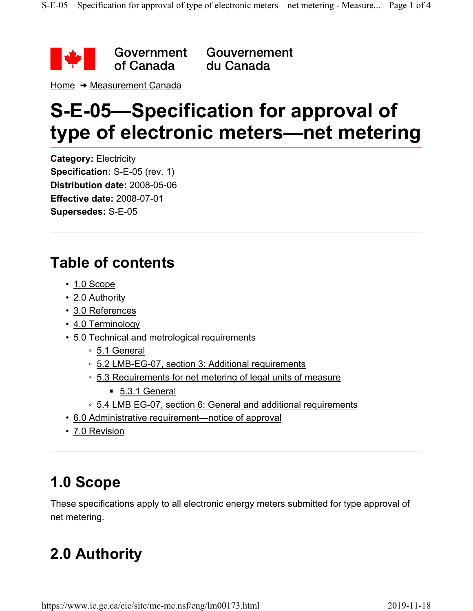

Gouvernement du Canada

Home  $\rightarrow$  Measurement Canada

# **S-E-05—Specification for approval of type of electronic meters—net metering**

**Category:** Electricity **Specification:** S-E-05 (rev. 1) **Distribution date:** 2008-05-06 **Effective date:** 2008-07-01 **Supersedes:** S-E-05

## **Table of contents**

- 1.0 Scope
- 2.0 Authority
- 3.0 References
- 4.0 Terminology
- 5.0 Technical and metrological requirements
	- 5.1 General
	- 5.2 LMB-EG-07, section 3: Additional requirements
	- 5.3 Requirements for net metering of legal units of measure
		- 5.3.1 General
	- 5.4 LMB EG-07, section 6: General and additional requirements
- 6.0 Administrative requirement—notice of approval
- 7.0 Revision

# **1.0 Scope**

These specifications apply to all electronic energy meters submitted for type approval of net metering.

# **2.0 Authority**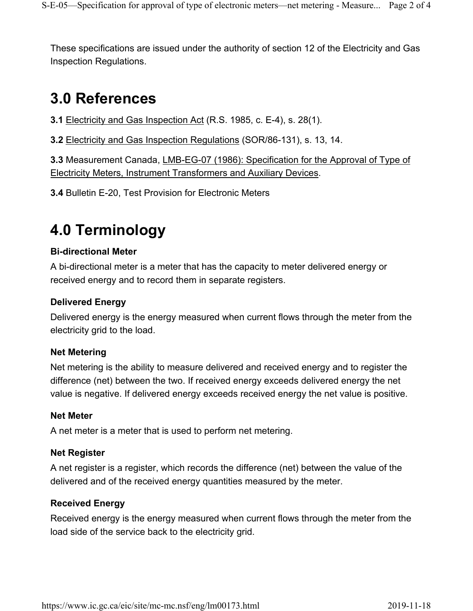These specifications are issued under the authority of section 12 of the Electricity and Gas Inspection Regulations.

## **3.0 References**

**3.1** Electricity and Gas Inspection Act (R.S. 1985, c. E-4), s. 28(1).

**3.2** Electricity and Gas Inspection Regulations (SOR/86-131), s. 13, 14.

**3.3** Measurement Canada, LMB-EG-07 (1986): Specification for the Approval of Type of Electricity Meters, Instrument Transformers and Auxiliary Devices.

**3.4** Bulletin E-20, Test Provision for Electronic Meters

## **4.0 Terminology**

#### **Bi-directional Meter**

A bi-directional meter is a meter that has the capacity to meter delivered energy or received energy and to record them in separate registers.

#### **Delivered Energy**

Delivered energy is the energy measured when current flows through the meter from the electricity grid to the load.

#### **Net Metering**

Net metering is the ability to measure delivered and received energy and to register the difference (net) between the two. If received energy exceeds delivered energy the net value is negative. If delivered energy exceeds received energy the net value is positive.

#### **Net Meter**

A net meter is a meter that is used to perform net metering.

#### **Net Register**

A net register is a register, which records the difference (net) between the value of the delivered and of the received energy quantities measured by the meter.

#### **Received Energy**

Received energy is the energy measured when current flows through the meter from the load side of the service back to the electricity grid.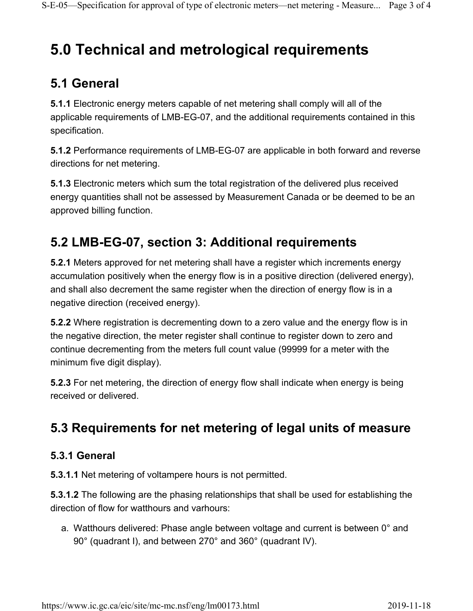# **5.0 Technical and metrological requirements**

### **5.1 General**

**5.1.1** Electronic energy meters capable of net metering shall comply will all of the applicable requirements of LMB-EG-07, and the additional requirements contained in this specification.

**5.1.2** Performance requirements of LMB-EG-07 are applicable in both forward and reverse directions for net metering.

**5.1.3** Electronic meters which sum the total registration of the delivered plus received energy quantities shall not be assessed by Measurement Canada or be deemed to be an approved billing function.

### **5.2 LMB-EG-07, section 3: Additional requirements**

**5.2.1** Meters approved for net metering shall have a register which increments energy accumulation positively when the energy flow is in a positive direction (delivered energy), and shall also decrement the same register when the direction of energy flow is in a negative direction (received energy).

**5.2.2** Where registration is decrementing down to a zero value and the energy flow is in the negative direction, the meter register shall continue to register down to zero and continue decrementing from the meters full count value (99999 for a meter with the minimum five digit display).

**5.2.3** For net metering, the direction of energy flow shall indicate when energy is being received or delivered.

### **5.3 Requirements for net metering of legal units of measure**

#### **5.3.1 General**

**5.3.1.1** Net metering of voltampere hours is not permitted.

**5.3.1.2** The following are the phasing relationships that shall be used for establishing the direction of flow for watthours and varhours:

a. Watthours delivered: Phase angle between voltage and current is between 0° and 90° (quadrant I), and between 270° and 360° (quadrant IV).